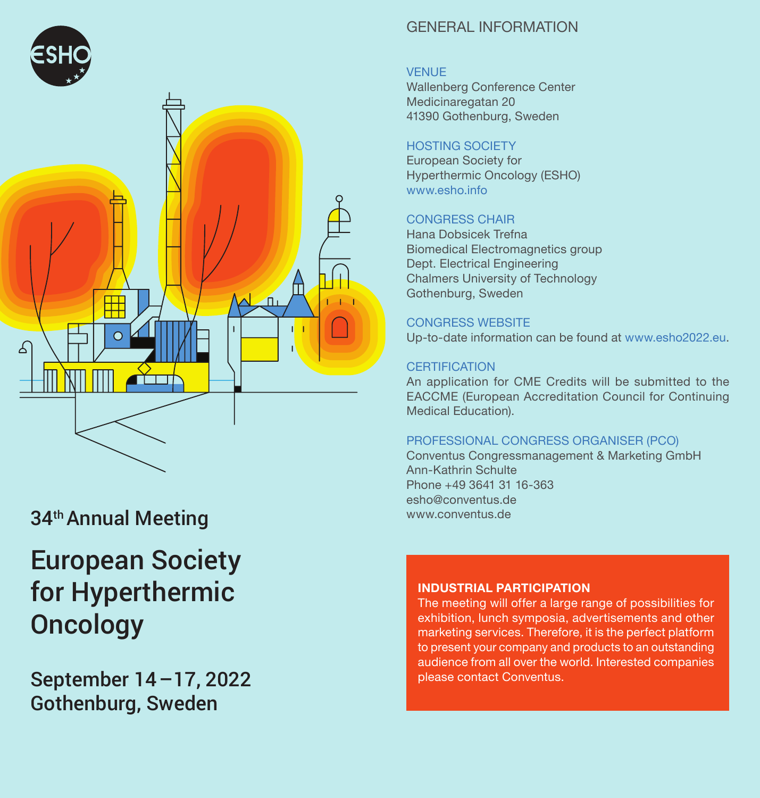

# 34th Annual Meeting

# European Society for Hyperthermic **Oncology**

September 14–17, 2022 Gothenburg, Sweden

### General Information

#### **VENUE**

Wallenberg Conference Center Medicinaregatan 20 41390 Gothenburg, Sweden

#### HOSTING SOCIETY

European Society for Hyperthermic Oncology (ESHO) www.esho.info

#### CONGRESS CHAIR

Hana Dobsicek Trefna Biomedical Electromagnetics group Dept. Electrical Engineering Chalmers University of Technology Gothenburg, Sweden

#### CONGRESS WEBSITE

Up-to-date information can be found at www.esho2022.eu.

#### **CERTIFICATION**

An application for CME Credits will be submitted to the EACCME (European Accreditation Council for Continuing Medical Education).

#### PROFESSIONAL CONGRESS ORGANISER (PCO)

Conventus Congressmanagement & Marketing GmbH Ann-Kathrin Schulte Phone +49 3641 31 16-363 esho@conventus.de www.conventus.de

#### **INDUSTRIAL PARTICIPATION**

The meeting will offer a large range of possibilities for exhibition, lunch symposia, advertisements and other marketing services. Therefore, it is the perfect platform to present your company and products to an outstanding audience from all over the world. Interested companies please contact Conventus.